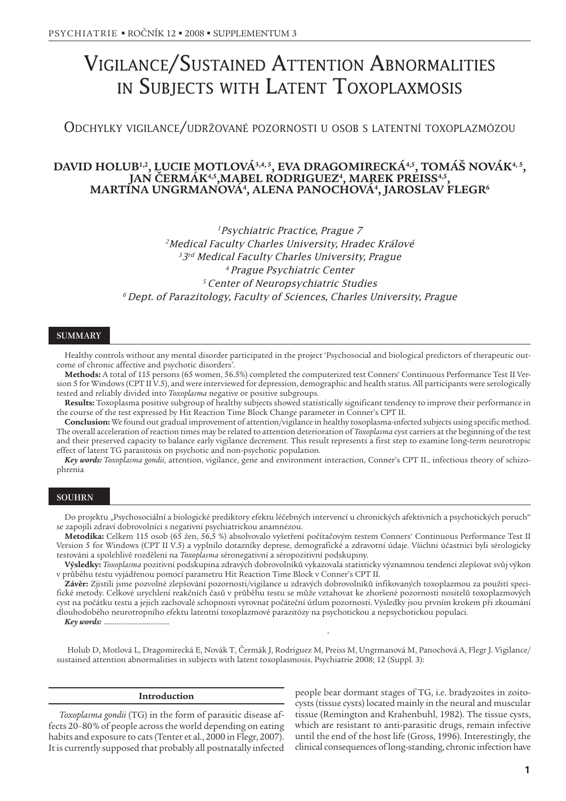# VIGILANCE/SUSTAINED ATTENTION ABNORMALITIES IN SUBJECTS WITH LATENT TOXOPLAXMOSIS

ODCHYLKY VIGILANCE/UDRŽOVANÉ POZORNOSTI <sup>U</sup> OSOB <sup>S</sup> LATENTNÍ TOXOPLAZMÓZOU

# DAVID HOLUB<sup>1,2</sup>, LUCIE MOTLOVÁ<sup>3,4, 5</sup>, EVA DRAGOMIRECKÁ<sup>4,5</sup>, TOMÁŠ NOVÁK<sup>4, 5</sup>, **JAN ÈERMÁK4,5,MABEL RODRIGUEZ4 , MAREK PREISS4,5, MARTINA UNGRMANOVÁ4 , ALENA PANOCHOVÁ4 , JAROSLAV FLEGR6**

<sup>1</sup> Psychiatric Practice, Prague 7 <sup>2</sup> Medical Faculty Charles University, Hradec Králové <sup>3</sup>3<sup>rd</sup> Medical Faculty Charles University, Prague <sup>4</sup>Prague Psychiatric Center <sup>5</sup>Center of Neuropsychiatric Studies  $6$  Dept. of Parazitology, Faculty of Sciences, Charles University, Prague

# **SUMMARY**

Healthy controls without any mental disorder participated in the project 'Psychosocial and biological predictors of therapeutic outcome of chronic affective and psychotic disorders'.

**Methods:** A total of 115 persons (65 women, 56.5%) completed the computerized test Conners' Continuous Performance Test II Version 5 for Windows (CPT II V.5), and were interviewed for depression, demographic and health status. All participants were serologically tested and reliably divided into *Toxoplasma* negative or positive subgroups.

**Results:** Toxoplasma positive subgroup of healthy subjects showed statistically significant tendency to improve their performance in the course of the test expressed by Hit Reaction Time Block Change parameter in Conner's CPT II.

**Conclusion:** We found out gradual improvement of attention/vigilance in healthy toxoplasma-infected subjects using specific method. The overall acceleration of reaction times may be related to attention deterioration of *Toxoplasma* cyst carriers at the beginning of the test and their preserved capacity to balance early vigilance decrement. This result represents a first step to examine long-term neurotropic effect of latent TG parasitosis on psychotic and non-psychotic population.

*Key words: Toxoplasma gondii*, attention, vigilance, gene and environment interaction, Conner's CPT II., infectious theory of schizophrenia

### SOUHRN

Do projektu "Psychosociální a biologické prediktory efektu léčebných intervencí u chronických afektivních a psychotických poruch" se zapojili zdraví dobrovolníci s negativní psychiatrickou anamnézou.

Metodika: Celkem 115 osob (65 žen, 56,5 %) absolvovalo vyšetření počítačovým testem Conners' Continuous Performance Test II Version 5 for Windows (CPT II V.5) a vyplnilo dotazníky deprese, demografické a zdravotní údaje. Všichni úèastnici byli sérologicky testováni a spolehlivě rozděleni na *Toxoplasma* séronegativní a séropozitivní podskupiny.

**Výsledky:** *Toxoplasma* pozitivní podskupina zdravých dobrovolníkù vykazovala statisticky významnou tendenci zlepšovat svùj výkon v průběhu testu vyjádřenou pomocí parametru Hit Reaction Time Block v Conner's CPT II.

**Závěr:** Zjistili jsme pozvolné zlepšování pozornosti/vigilance u zdravých dobrovolníků infikovaných toxoplazmou za použití specifické metody. Celkové urychlení reakčních časů v průběhu testu se může vztahovat ke zhoršené pozornosti nositelů toxoplazmových cyst na počátku testu a jejich zachovalé schopnosti vyrovnat počáteční útlum pozornosti. Výsledky jsou prvním krokem při zkoumání dlouhodobého neurotropního efektu latentní toxoplazmové parazitózy na psychotickou a nepsychotickou populaci.

Key words: ...

Holub D, Motlová L, Dragomirecká E, Novák T, Èermák J, Rodriguez M, Preiss M, Ungrmanová M, Panochová A, Flegr J. Vigilance/ sustained attention abnormalities in subjects with latent toxoplasmosis. Psychiatrie 2008; 12 (Suppl. 3):

#### **Introduction**

*Toxoplasma gondii* (TG) in the form of parasitic disease affects 20–80 % of people across the world depending on eating habits and exposure to cats (Tenter et al., 2000 in Flegr, 2007). It is currently supposed that probably all postnatally infected

people bear dormant stages of TG, i.e. bradyzoites in zoitocysts (tissue cysts) located mainly in the neural and muscular tissue (Remington and Krahenbuhl, 1982). The tissue cysts, which are resistant to anti-parasitic drugs, remain infective until the end of the host life (Gross, 1996). Interestingly, the clinical consequences of long-standing, chronic infection have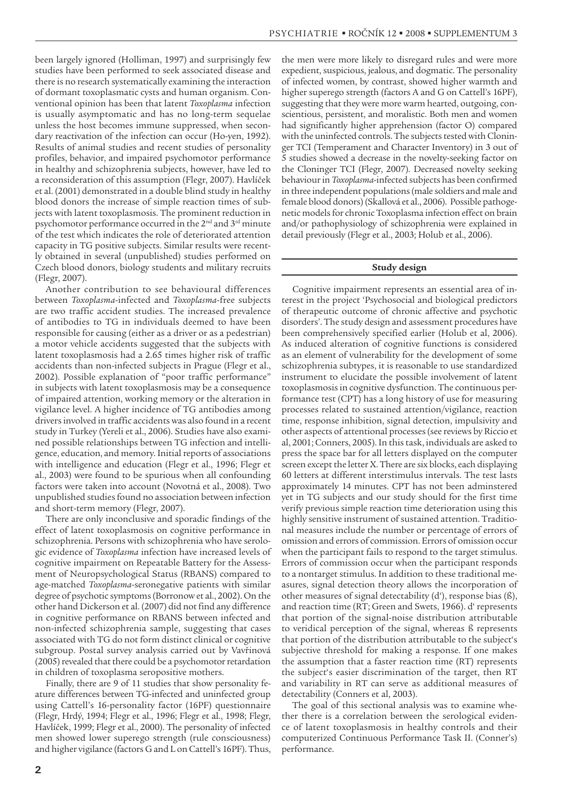been largely ignored (Holliman, 1997) and surprisingly few studies have been performed to seek associated disease and there is no research systematically examining the interaction of dormant toxoplasmatic cysts and human organism. Conventional opinion has been that latent *Toxoplasma* infection is usually asymptomatic and has no long-term sequelae unless the host becomes immune suppressed, when secondary reactivation of the infection can occur (Ho-yen, 1992). Results of animal studies and recent studies of personality profiles, behavior, and impaired psychomotor performance in healthy and schizophrenia subjects, however, have led to a reconsideration of this assumption (Flegr, 2007). Havlíček et al. (2001) demonstrated in a double blind study in healthy blood donors the increase of simple reaction times of subjects with latent toxoplasmosis. The prominent reduction in psychomotor performance occurred in the 2nd and 3rd minute of the test which indicates the role of deteriorated attention capacity in TG positive subjects. Similar results were recently obtained in several (unpublished) studies performed on Czech blood donors, biology students and military recruits (Flegr, 2007).

Another contribution to see behavioural differences between *Toxoplasma*-infected and *Toxoplasma*-free subjects are two traffic accident studies. The increased prevalence of antibodies to TG in individuals deemed to have been responsible for causing (either as a driver or as a pedestrian) a motor vehicle accidents suggested that the subjects with latent toxoplasmosis had a 2.65 times higher risk of traffic accidents than non-infected subjects in Prague (Flegr et al., 2002). Possible explanation of "poor traffic performance" in subjects with latent toxoplasmosis may be a consequence of impaired attention, working memory or the alteration in vigilance level. A higher incidence of TG antibodies among drivers involved in traffic accidents was also found in a recent study in Turkey (Yereli et al., 2006). Studies have also examined possible relationships between TG infection and intelligence, education, and memory. Initial reports of associations with intelligence and education (Flegr et al., 1996; Flegr et al., 2003) were found to be spurious when all confounding factors were taken into account (Novotná et al., 2008). Two unpublished studies found no association between infection and short-term memory (Flegr, 2007).

There are only inconclusive and sporadic findings of the effect of latent toxoplasmosis on cognitive performance in schizophrenia. Persons with schizophrenia who have serologic evidence of *Toxoplasma* infection have increased levels of cognitive impairment on Repeatable Battery for the Assessment of Neuropsychological Status (RBANS) compared to age-matched *Toxoplasma*-seronegative patients with similar degree of psychotic symptoms (Borronow et al., 2002). On the other hand Dickerson et al. (2007) did not find any difference in cognitive performance on RBANS between infected and non-infected schizophrenia sample, suggesting that cases associated with TG do not form distinct clinical or cognitive subgroup. Postal survey analysis carried out by Vavřinová (2005) revealed that there could be a psychomotor retardation in children of toxoplasma seropositive mothers.

Finally, there are 9 of 11 studies that show personality feature differences between TG-infected and uninfected group using Cattell's 16-personality factor (16PF) questionnaire (Flegr, Hrdý, 1994; Flegr et al., 1996; Flegr et al., 1998; Flegr, Havlíèek, 1999; Flegr et al., 2000). The personality of infected men showed lower superego strength (rule consciousness) and higher vigilance (factors G and L on Cattell's 16PF). Thus,

the men were more likely to disregard rules and were more expedient, suspicious, jealous, and dogmatic. The personality of infected women, by contrast, showed higher warmth and higher superego strength (factors A and G on Cattell's 16PF), suggesting that they were more warm hearted, outgoing, conscientious, persistent, and moralistic. Both men and women had significantly higher apprehension (factor O) compared with the uninfected controls. The subjects tested with Cloninger TCI (Temperament and Character Inventory) in 3 out of 5 studies showed a decrease in the novelty-seeking factor on the Cloninger TCI (Flegr, 2007). Decreased novelty seeking behaviour in *Toxoplasma*-infected subjects has been confirmed in three independent populations (male soldiers and male and female blood donors) (Skallová et al., 2006). Possible pathogenetic models for chronic Toxoplasma infection effect on brain and/or pathophysiology of schizophrenia were explained in detail previously (Flegr et al., 2003; Holub et al., 2006).

#### **Study design**

Cognitive impairment represents an essential area of interest in the project 'Psychosocial and biological predictors of therapeutic outcome of chronic affective and psychotic disorders'. The study design and assessment procedures have been comprehensively specified earlier (Holub et al, 2006). As induced alteration of cognitive functions is considered as an element of vulnerability for the development of some schizophrenia subtypes, it is reasonable to use standardized instrument to elucidate the possible involvement of latent toxoplasmosis in cognitive dysfunction. The continuous performance test (CPT) has a long history of use for measuring processes related to sustained attention/vigilance, reaction time, response inhibition, signal detection, impulsivity and other aspects of attentional processes (see reviews by Riccio et al, 2001; Conners, 2005). In this task, individuals are asked to press the space bar for all letters displayed on the computer screen except the letter X. There are six blocks, each displaying 60 letters at different interstimulus intervals. The test lasts approximately 14 minutes. CPT has not been adminstered yet in TG subjects and our study should for the first time verify previous simple reaction time deterioration using this highly sensitive instrument of sustained attention. Traditional measures include the number or percentage of errors of omission and errors of commission. Errors of omission occur when the participant fails to respond to the target stimulus. Errors of commission occur when the participant responds to a nontarget stimulus. In addition to these traditional measures, signal detection theory allows the incorporation of other measures of signal detectability (d'), response bias (ß), and reaction time (RT; Green and Swets, 1966). d' represents that portion of the signal-noise distribution attributable to veridical perception of the signal, whereas ß represents that portion of the distribution attributable to the subject's subjective threshold for making a response. If one makes the assumption that a faster reaction time (RT) represents the subject's easier discrimination of the target, then RT and variability in RT can serve as additional measures of detectability (Conners et al, 2003).

The goal of this sectional analysis was to examine whether there is a correlation between the serological evidence of latent toxoplasmosis in healthy controls and their computerized Continuous Performance Task II. (Conner's) performance.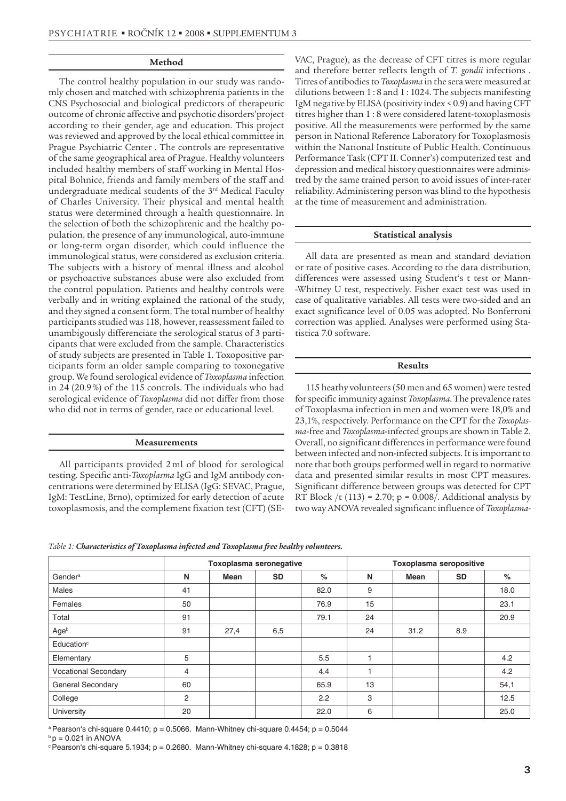#### **Method**

The control healthy population in our study was randomly chosen and matched with schizophrenia patients in the CNS Psychosocial and biological predictors of therapeutic outcome of chronic affective and psychotic disorders'project according to their gender, age and education. This project was reviewed and approved by the local ethical committee in Prague Psychiatric Center . The controls are representative of the same geographical area of Prague. Healthy volunteers included healthy members of staff working in Mental Hospital Bohnice, friends and family members of the staff and undergraduate medical students of the 3rd Medical Faculty of Charles University. Their physical and mental health status were determined through a health questionnaire. In the selection of both the schizophrenic and the healthy population, the presence of any immunological, auto-immune or long-term organ disorder, which could influence the immunological status, were considered as exclusion criteria. The subjects with a history of mental illness and alcohol or psychoactive substances abuse were also excluded from the control population. Patients and healthy controls were verbally and in writing explained the rational of the study, and they signed a consent form. The total number of healthy participants studied was 118, however, reassessment failed to unambigously differenciate the serological status of 3 participants that were excluded from the sample. Characteristics of study subjects are presented in Table 1. Toxopositive participants form an older sample comparing to toxonegative group. We found serological evidence of *Toxoplasma* infection in 24 (20.9 %) of the 115 controls. The individuals who had serological evidence of *Toxoplasma* did not differ from those who did not in terms of gender, race or educational level.

## **Measurements**

All participants provided 2 ml of blood for serological testing. Specific anti-*Toxoplasma* IgG and IgM antibody concentrations were determined by ELISA (IgG: SEVAC, Prague, IgM: TestLine, Brno), optimized for early detection of acute toxoplasmosis, and the complement fixation test (CFT) (SE-

VAC, Prague), as the decrease of CFT titres is more regular and therefore better reflects length of *T. gondii* infections . Titres of antibodies to *Toxoplasma* in the sera were measured at dilutions between 1 : 8 and 1 : 1024. The subjects manifesting IgM negative by ELISA (positivity index < 0.9) and having CFT titres higher than 1 : 8 were considered latent-toxoplasmosis positive. All the measurements were performed by the same person in National Reference Laboratory for Toxoplasmosis within the National Institute of Public Health. Continuous Performance Task (CPT II. Conner's) computerized test and depression and medical history questionnaires were administred by the same trained person to avoid issues of inter-rater reliability. Administering person was blind to the hypothesis at the time of measurement and administration.

#### **Statistical analysis**

All data are presented as mean and standard deviation or rate of positive cases. According to the data distribution, differences were assessed using Student's t test or Mann- -Whitney U test, respectively. Fisher exact test was used in case of qualitative variables. All tests were two-sided and an exact significance level of 0.05 was adopted. No Bonferroni correction was applied. Analyses were performed using Statistica 7.0 software.

#### **Results**

115 heathy volunteers (50 men and 65 women) were tested for specific immunity against *Toxoplasma*. The prevalence rates of Toxoplasma infection in men and women were 18,0% and 23,1%, respectively. Performance on the CPT for the *Toxoplasma*-free and *Toxoplasma*-infected groups are shown in Table 2. Overall, no significant differences in performance were found between infected and non-infected subjects. It is important to note that both groups performed well in regard to normative data and presented similar results in most CPT measures. Significant difference between groups was detected for CPT RT Block /t (113) = 2.70; p =  $0.008$ /. Additional analysis by two way ANOVA revealed significant influence of *Toxoplasma-*

|  |  | Table 1: Characteristics of Toxoplasma infected and Toxoplasma free healthy volunteers. |  |  |  |  |  |  |
|--|--|-----------------------------------------------------------------------------------------|--|--|--|--|--|--|
|--|--|-----------------------------------------------------------------------------------------|--|--|--|--|--|--|

|                        | Toxoplasma seronegative |      |           |      | <b>Toxoplasma seropositive</b> |      |           |      |  |
|------------------------|-------------------------|------|-----------|------|--------------------------------|------|-----------|------|--|
| Gender <sup>a</sup>    | N                       | Mean | <b>SD</b> | %    | N                              | Mean | <b>SD</b> | $\%$ |  |
| <b>Males</b>           | 41                      |      |           | 82.0 | 9                              |      |           | 18.0 |  |
| Females                | 50                      |      |           | 76.9 | 15                             |      |           | 23.1 |  |
| Total                  | 91                      |      |           | 79.1 | 24                             |      |           | 20.9 |  |
| Ageb                   | 91                      | 27,4 | 6,5       |      | 24                             | 31.2 | 8.9       |      |  |
| Education <sup>c</sup> |                         |      |           |      |                                |      |           |      |  |
| Elementary             | 5                       |      |           | 5.5  |                                |      |           | 4.2  |  |
| Vocational Secondary   | $\overline{4}$          |      |           | 4.4  |                                |      |           | 4.2  |  |
| General Secondary      | 60                      |      |           | 65.9 | 13                             |      |           | 54,1 |  |
| College                | 2                       |      |           | 2.2  | 3                              |      |           | 12.5 |  |
| University             | 20                      |      |           | 22.0 | 6                              |      |           | 25.0 |  |

<sup>a</sup> Pearson's chi-square 0.4410;  $p = 0.5066$ . Mann-Whitney chi-square 0.4454;  $p = 0.5044$ 

 $b$  p = 0.021 in ANOVA

 $\textdegree$  Pearson's chi-square 5.1934; p = 0.2680. Mann-Whitney chi-square 4.1828; p = 0.3818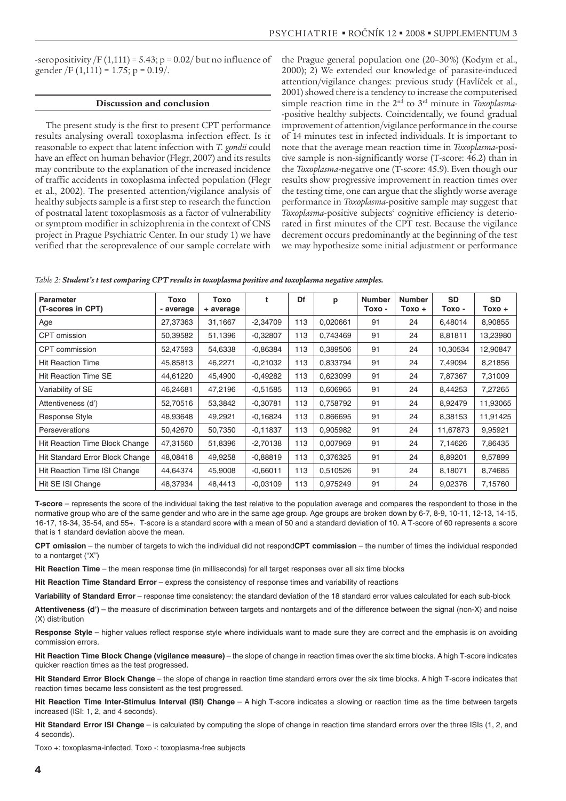-seropositivity  $/F(1,111) = 5.43$ ; p = 0.02/ but no influence of gender /F  $(1,111) = 1.75$ ; p = 0.19/.

#### **Discussion and conclusion**

The present study is the first to present CPT performance results analysing overall toxoplasma infection effect. Is it reasonable to expect that latent infection with *T. gondii* could have an effect on human behavior (Flegr, 2007) and its results may contribute to the explanation of the increased incidence of traffic accidents in toxoplasma infected population (Flegr et al., 2002). The presented attention/vigilance analysis of healthy subjects sample is a first step to research the function of postnatal latent toxoplasmosis as a factor of vulnerability or symptom modifier in schizophrenia in the context of CNS project in Prague Psychiatric Center. In our study 1) we have verified that the seroprevalence of our sample correlate with the Prague general population one (20–30 %) (Kodym et al., 2000); 2) We extended our knowledge of parasite-induced attention/vigilance changes: previous study (Havlíček et al., 2001) showed there is a tendency to increase the computerised simple reaction time in the 2nd to 3rd minute in *Toxoplasma-* -positive healthy subjects. Coincidentally, we found gradual improvement of attention/vigilance performance in the course of 14 minutes test in infected individuals. It is important to note that the average mean reaction time in *Toxoplasma*-positive sample is non-significantly worse (T-score: 46.2) than in the *Toxoplasma*-negative one (T-score: 45.9). Even though our results show progressive improvement in reaction times over the testing time, one can argue that the slightly worse average performance in *Toxoplasma*-positive sample may suggest that *Toxoplasma*-positive subjects' cognitive efficiency is deteriorated in first minutes of the CPT test. Because the vigilance decrement occurs predominantly at the beginning of the test we may hypothesize some initial adjustment or performance

| <b>Parameter</b><br>(T-scores in CPT) | Toxo<br>- average | Toxo<br>+ average | t          | Df  | р        | <b>Number</b><br>Toxo - | <b>Number</b><br>$Toxo +$ | <b>SD</b><br>Тохо - | <b>SD</b><br>Toxo + |
|---------------------------------------|-------------------|-------------------|------------|-----|----------|-------------------------|---------------------------|---------------------|---------------------|
| Age                                   | 27,37363          | 31,1667           | $-2,34709$ | 113 | 0.020661 | 91                      | 24                        | 6,48014             | 8,90855             |
| CPT omission                          | 50,39582          | 51,1396           | $-0.32807$ | 113 | 0.743469 | 91                      | 24                        | 8.81811             | 13,23980            |
| CPT commission                        | 52.47593          | 54,6338           | $-0.86384$ | 113 | 0,389506 | 91                      | 24                        | 10.30534            | 12,90847            |
| <b>Hit Reaction Time</b>              | 45,85813          | 46,2271           | $-0.21032$ | 113 | 0,833794 | 91                      | 24                        | 7,49094             | 8,21856             |
| <b>Hit Reaction Time SE</b>           | 44,61220          | 45,4900           | $-0.49282$ | 113 | 0.623099 | 91                      | 24                        | 7.87367             | 7,31009             |
| Variability of SE                     | 46,24681          | 47,2196           | $-0.51585$ | 113 | 0,606965 | 91                      | 24                        | 8,44253             | 7,27265             |
| Attentiveness (d')                    | 52,70516          | 53.3842           | $-0.30781$ | 113 | 0.758792 | 91                      | 24                        | 8.92479             | 11,93065            |
| Response Style                        | 48,93648          | 49,2921           | $-0.16824$ | 113 | 0,866695 | 91                      | 24                        | 8,38153             | 11,91425            |
| <b>Perseverations</b>                 | 50,42670          | 50,7350           | $-0.11837$ | 113 | 0,905982 | 91                      | 24                        | 11,67873            | 9,95921             |
| Hit Reaction Time Block Change        | 47,31560          | 51,8396           | $-2,70138$ | 113 | 0,007969 | 91                      | 24                        | 7,14626             | 7,86435             |
| Hit Standard Error Block Change       | 48,08418          | 49,9258           | $-0.88819$ | 113 | 0,376325 | 91                      | 24                        | 8,89201             | 9,57899             |
| Hit Reaction Time ISI Change          | 44,64374          | 45,9008           | $-0.66011$ | 113 | 0,510526 | 91                      | 24                        | 8.18071             | 8,74685             |
| Hit SE ISI Change                     | 48,37934          | 48,4413           | $-0.03109$ | 113 | 0,975249 | 91                      | 24                        | 9,02376             | 7,15760             |

**T-score** – represents the score of the individual taking the test relative to the population average and compares the respondent to those in the normative group who are of the same gender and who are in the same age group. Age groups are broken down by 6-7, 8-9, 10-11, 12-13, 14-15, 16-17, 18-34, 35-54, and 55+. T-score is a standard score with a mean of 50 and a standard deviation of 10. A T-score of 60 represents a score that is 1 standard deviation above the mean.

**CPT omission** – the number of targets to wich the individual did not respond**CPT commission** – the number of times the individual responded to a nontarget ("X")

**Hit Reaction Time** – the mean response time (in milliseconds) for all target responses over all six time blocks

**Hit Reaction Time Standard Error** – express the consistency of response times and variability of reactions

**Variability of Standard Error** – response time consistency: the standard deviation of the 18 standard error values calculated for each sub-block

**Attentiveness (d')** – the measure of discrimination between targets and nontargets and of the difference between the signal (non-X) and noise (X) distribution

**Response Style** – higher values reflect response style where individuals want to made sure they are correct and the emphasis is on avoiding commission errors.

**Hit Reaction Time Block Change (vigilance measure)** – the slope of change in reaction times over the six time blocks. A high T-score indicates quicker reaction times as the test progressed.

**Hit Standard Error Block Change** – the slope of change in reaction time standard errors over the six time blocks. A high T-score indicates that reaction times became less consistent as the test progressed.

**Hit Reaction Time Inter-Stimulus Interval (ISI) Change** – A high T-score indicates a slowing or reaction time as the time between targets increased (ISI: 1, 2, and 4 seconds).

**Hit Standard Error ISI Change** – is calculated by computing the slope of change in reaction time standard errors over the three ISIs (1, 2, and 4 seconds).

Toxo +: toxoplasma-infected, Toxo -: toxoplasma-free subjects